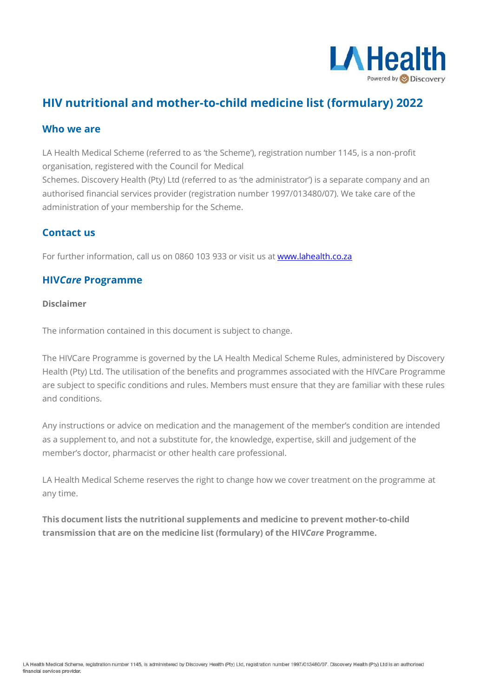

# **HIV nutritional and mother-to-child medicine list (formulary) 2022**

#### **Who we are**

LA Health Medical Scheme (referred to as 'the Scheme'), registration number 1145, is a non-profit organisation, registered with the Council for Medical

Schemes. Discovery Health (Pty) Ltd (referred to as 'the administrator') is a separate company and an authorised financial services provider (registration number 1997/013480/07). We take care of the administration of your membership for the Scheme.

### **Contact us**

For further information, call us on 0860 103 933 or visit us at [www.lahealth.co.za](http://www.lahealth.co.za/)

#### **HIV***Care* **Programme**

#### **Disclaimer**

The information contained in this document is subject to change.

The HIVCare Programme is governed by the LA Health Medical Scheme Rules, administered by Discovery Health (Pty) Ltd. The utilisation of the benefits and programmes associated with the HIVCare Programme are subject to specific conditions and rules. Members must ensure that they are familiar with these rules and conditions.

Any instructions or advice on medication and the management of the member's condition are intended as a supplement to, and not a substitute for, the knowledge, expertise, skill and judgement of the member's doctor, pharmacist or other health care professional.

LA Health Medical Scheme reserves the right to change how we cover treatment on the programme at any time.

**This document lists the nutritional supplements and medicine to prevent mother-to-child transmission that are on the medicine list (formulary) of the HIV***Care* **Programme.**